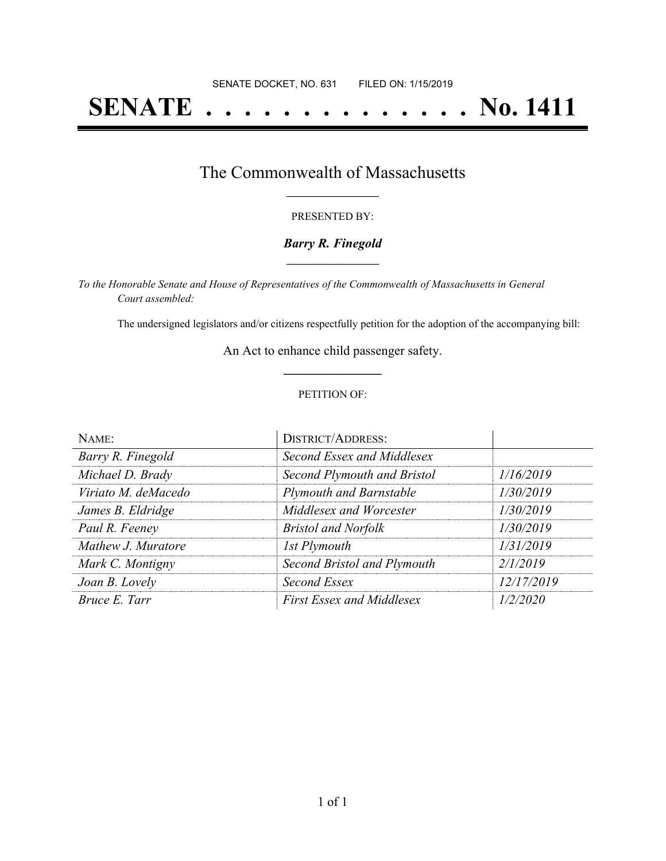# **SENATE . . . . . . . . . . . . . . No. 1411**

## The Commonwealth of Massachusetts **\_\_\_\_\_\_\_\_\_\_\_\_\_\_\_\_\_**

#### PRESENTED BY:

#### *Barry R. Finegold* **\_\_\_\_\_\_\_\_\_\_\_\_\_\_\_\_\_**

*To the Honorable Senate and House of Representatives of the Commonwealth of Massachusetts in General Court assembled:*

The undersigned legislators and/or citizens respectfully petition for the adoption of the accompanying bill:

An Act to enhance child passenger safety. **\_\_\_\_\_\_\_\_\_\_\_\_\_\_\_**

#### PETITION OF:

| NAME:               | <b>DISTRICT/ADDRESS:</b>         |            |
|---------------------|----------------------------------|------------|
| Barry R. Finegold   | Second Essex and Middlesex       |            |
| Michael D. Brady    | Second Plymouth and Bristol      | 1/16/2019  |
| Viriato M. deMacedo | <b>Plymouth and Barnstable</b>   | 1/30/2019  |
| James B. Eldridge   | Middlesex and Worcester          | 1/30/2019  |
| Paul R. Feeney      | <b>Bristol and Norfolk</b>       | 1/30/2019  |
| Mathew J. Muratore  | 1st Plymouth                     | 1/31/2019  |
| Mark C. Montigny    | Second Bristol and Plymouth      | 2/1/2019   |
| Joan B. Lovely      | Second Essex                     | 12/17/2019 |
| Bruce E. Tarr       | <b>First Essex and Middlesex</b> | 1/2/2020   |